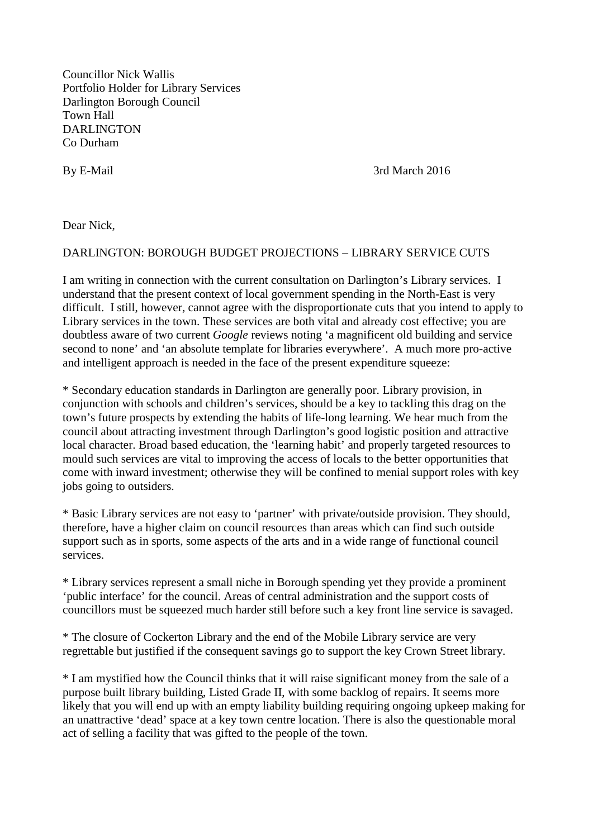Councillor Nick Wallis Portfolio Holder for Library Services Darlington Borough Council Town Hall DARLINGTON Co Durham

By E-Mail 3rd March 2016

Dear Nick,

## DARLINGTON: BOROUGH BUDGET PROJECTIONS – LIBRARY SERVICE CUTS

I am writing in connection with the current consultation on Darlington's Library services. I understand that the present context of local government spending in the North-East is very difficult. I still, however, cannot agree with the disproportionate cuts that you intend to apply to Library services in the town. These services are both vital and already cost effective; you are doubtless aware of two current *Google* reviews noting 'a magnificent old building and service second to none' and 'an absolute template for libraries everywhere'. A much more pro-active and intelligent approach is needed in the face of the present expenditure squeeze:

\* Secondary education standards in Darlington are generally poor. Library provision, in conjunction with schools and children's services, should be a key to tackling this drag on the town's future prospects by extending the habits of life-long learning. We hear much from the council about attracting investment through Darlington's good logistic position and attractive local character. Broad based education, the 'learning habit' and properly targeted resources to mould such services are vital to improving the access of locals to the better opportunities that come with inward investment; otherwise they will be confined to menial support roles with key jobs going to outsiders.

\* Basic Library services are not easy to 'partner' with private/outside provision. They should, therefore, have a higher claim on council resources than areas which can find such outside support such as in sports, some aspects of the arts and in a wide range of functional council services.

\* Library services represent a small niche in Borough spending yet they provide a prominent 'public interface' for the council. Areas of central administration and the support costs of councillors must be squeezed much harder still before such a key front line service is savaged.

\* The closure of Cockerton Library and the end of the Mobile Library service are very regrettable but justified if the consequent savings go to support the key Crown Street library.

\* I am mystified how the Council thinks that it will raise significant money from the sale of a purpose built library building, Listed Grade II, with some backlog of repairs. It seems more likely that you will end up with an empty liability building requiring ongoing upkeep making for an unattractive 'dead' space at a key town centre location. There is also the questionable moral act of selling a facility that was gifted to the people of the town.